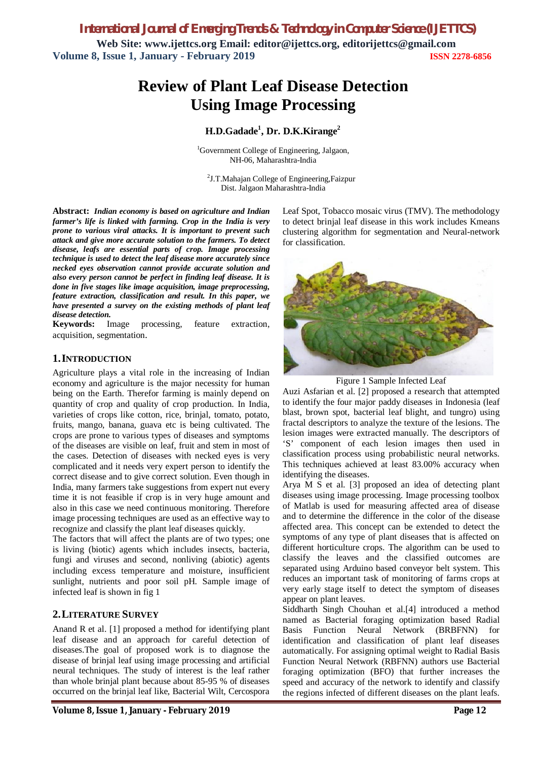*International Journal of Emerging Trends & Technology in Computer Science (IJETTCS)* **Web Site: www.ijettcs.org Email: editor@ijettcs.org, editorijettcs@gmail.com Volume 8, Issue 1, January - February 2019 ISSN 2278-6856**

# **Review of Plant Leaf Disease Detection Using Image Processing**

# **H.D.Gadade<sup>1</sup> , Dr. D.K.Kirange<sup>2</sup>**

<sup>1</sup>Government College of Engineering, Jalgaon, NH-06, Maharashtra-India

<sup>2</sup>J.T.Mahajan College of Engineering,Faizpur Dist. Jalgaon Maharashtra-India

**Abstract:** *Indian economy is based on agriculture and Indian farmer's life is linked with farming. Crop in the India is very prone to various viral attacks. It is important to prevent such attack and give more accurate solution to the farmers. To detect disease, leafs are essential parts of crop. Image processing technique is used to detect the leaf disease more accurately since necked eyes observation cannot provide accurate solution and also every person cannot be perfect in finding leaf disease. It is done in five stages like image acquisition, image preprocessing, feature extraction, classification and result. In this paper, we have presented a survey on the existing methods of plant leaf disease detection.*

**Keywords:** Image processing, feature extraction, acquisition, segmentation.

### **1.INTRODUCTION**

Agriculture plays a vital role in the increasing of Indian economy and agriculture is the major necessity for human being on the Earth. Therefor farming is mainly depend on quantity of crop and quality of crop production. In India, varieties of crops like cotton, rice, brinjal, tomato, potato, fruits, mango, banana, guava etc is being cultivated. The crops are prone to various types of diseases and symptoms of the diseases are visible on leaf, fruit and stem in most of the cases. Detection of diseases with necked eyes is very complicated and it needs very expert person to identify the correct disease and to give correct solution. Even though in India, many farmers take suggestions from expert nut every time it is not feasible if crop is in very huge amount and also in this case we need continuous monitoring. Therefore image processing techniques are used as an effective way to recognize and classify the plant leaf diseases quickly.

The factors that will affect the plants are of two types; one is living (biotic) agents which includes insects, bacteria, fungi and viruses and second, nonliving (abiotic) agents including excess temperature and moisture, insufficient sunlight, nutrients and poor soil pH. Sample image of infected leaf is shown in fig 1

#### **2.LITERATURE SURVEY**

Anand R et al. [1] proposed a method for identifying plant leaf disease and an approach for careful detection of diseases.The goal of proposed work is to diagnose the disease of brinjal leaf using image processing and artificial neural techniques. The study of interest is the leaf rather than whole brinjal plant because about 85-95 % of diseases occurred on the brinjal leaf like, Bacterial Wilt, Cercospora Leaf Spot, Tobacco mosaic virus (TMV). The methodology to detect brinjal leaf disease in this work includes Kmeans clustering algorithm for segmentation and Neural-network for classification.



Figure 1 Sample Infected Leaf

Auzi Asfarian et al. [2] proposed a research that attempted to identify the four major paddy diseases in Indonesia (leaf blast, brown spot, bacterial leaf blight, and tungro) using fractal descriptors to analyze the texture of the lesions. The lesion images were extracted manually. The descriptors of 'S' component of each lesion images then used in classification process using probabilistic neural networks. This techniques achieved at least 83.00% accuracy when identifying the diseases.

Arya M S et al. [3] proposed an idea of detecting plant diseases using image processing. Image processing toolbox of Matlab is used for measuring affected area of disease and to determine the difference in the color of the disease affected area. This concept can be extended to detect the symptoms of any type of plant diseases that is affected on different horticulture crops. The algorithm can be used to classify the leaves and the classified outcomes are separated using Arduino based conveyor belt system. This reduces an important task of monitoring of farms crops at very early stage itself to detect the symptom of diseases appear on plant leaves.

Siddharth Singh Chouhan et al.[4] introduced a method named as Bacterial foraging optimization based Radial Basis Function Neural Network (BRBFNN) for identification and classification of plant leaf diseases automatically. For assigning optimal weight to Radial Basis Function Neural Network (RBFNN) authors use Bacterial foraging optimization (BFO) that further increases the speed and accuracy of the network to identify and classify the regions infected of different diseases on the plant leafs.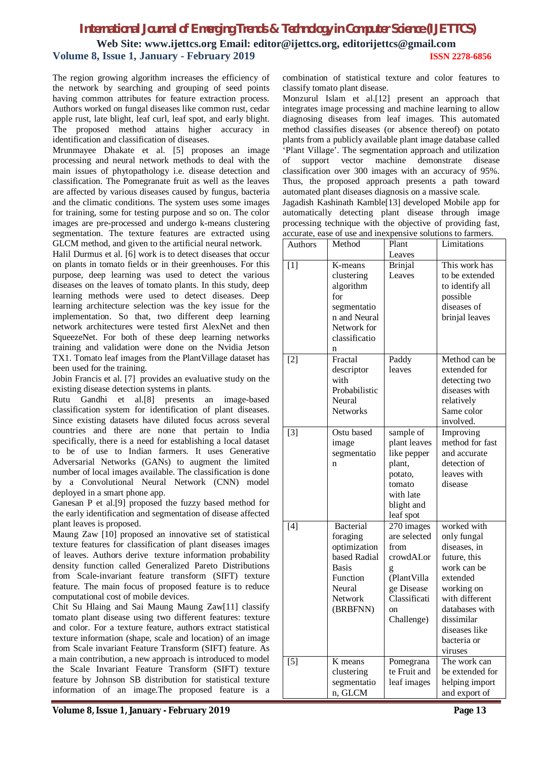# *International Journal of Emerging Trends & Technology in Computer Science (IJETTCS)* **Web Site: www.ijettcs.org Email: editor@ijettcs.org, editorijettcs@gmail.com Volume 8, Issue 1, January - February 2019 ISSN 2278-6856**

The region growing algorithm increases the efficiency of the network by searching and grouping of seed points having common attributes for feature extraction process. Authors worked on fungal diseases like common rust, cedar apple rust, late blight, leaf curl, leaf spot, and early blight. The proposed method attains higher accuracy in identification and classification of diseases.

Mrunmayee Dhakate et al. [5] proposes an image processing and neural network methods to deal with the main issues of phytopathology i.e. disease detection and classification. The Pomegranate fruit as well as the leaves are affected by various diseases caused by fungus, bacteria and the climatic conditions. The system uses some images for training, some for testing purpose and so on. The color images are pre-processed and undergo k-means clustering segmentation. The texture features are extracted using GLCM method, and given to the artificial neural network.

Halil Durmus et al. [6] work is to detect diseases that occur on plants in tomato fields or in their greenhouses. For this purpose, deep learning was used to detect the various diseases on the leaves of tomato plants. In this study, deep learning methods were used to detect diseases. Deep learning architecture selection was the key issue for the implementation. So that, two different deep learning network architectures were tested first AlexNet and then SqueezeNet. For both of these deep learning networks training and validation were done on the Nvidia Jetson TX1. Tomato leaf images from the PlantVillage dataset has been used for the training.

Jobin Francis et al. [7] provides an evaluative study on the existing disease detection systems in plants.

Rutu Gandhi et al.[8] presents an image-based classification system for identification of plant diseases. Since existing datasets have diluted focus across several countries and there are none that pertain to India specifically, there is a need for establishing a local dataset to be of use to Indian farmers. It uses Generative Adversarial Networks (GANs) to augment the limited number of local images available. The classification is done by a Convolutional Neural Network (CNN) model deployed in a smart phone app.

Ganesan P et al.[9] proposed the fuzzy based method for the early identification and segmentation of disease affected plant leaves is proposed.

Maung Zaw [10] proposed an innovative set of statistical texture features for classification of plant diseases images of leaves. Authors derive texture information probability density function called Generalized Pareto Distributions from Scale-invariant feature transform (SIFT) texture feature. The main focus of proposed feature is to reduce computational cost of mobile devices.

Chit Su Hlaing and Sai Maung Maung Zaw[11] classify tomato plant disease using two different features: texture and color. For a texture feature, authors extract statistical texture information (shape, scale and location) of an image from Scale invariant Feature Transform (SIFT) feature. As a main contribution, a new approach is introduced to model the Scale Invariant Feature Transform (SIFT) texture feature by Johnson SB distribution for statistical texture information of an image.The proposed feature is a

combination of statistical texture and color features to classify tomato plant disease.

Monzurul Islam et al.[12] present an approach that integrates image processing and machine learning to allow diagnosing diseases from leaf images. This automated method classifies diseases (or absence thereof) on potato plants from a publicly available plant image database called 'Plant Village'. The segmentation approach and utilization of support vector machine demonstrate disease classification over 300 images with an accuracy of 95%. Thus, the proposed approach presents a path toward automated plant diseases diagnosis on a massive scale. Jagadish Kashinath Kamble[13] developed Mobile app for automatically detecting plant disease through image processing technique with the objective of providing fast,

| accurate, ease of use and inexpensive solutions to farmers. |                                                                                                                                  |                                                                                                                                   |                                                                                                                                                                                                  |  |  |  |  |  |  |  |
|-------------------------------------------------------------|----------------------------------------------------------------------------------------------------------------------------------|-----------------------------------------------------------------------------------------------------------------------------------|--------------------------------------------------------------------------------------------------------------------------------------------------------------------------------------------------|--|--|--|--|--|--|--|
| Authors                                                     | Method                                                                                                                           | Plant                                                                                                                             | Limitations                                                                                                                                                                                      |  |  |  |  |  |  |  |
|                                                             |                                                                                                                                  | Leaves                                                                                                                            |                                                                                                                                                                                                  |  |  |  |  |  |  |  |
| [1]                                                         | K-means<br>clustering<br>algorithm<br>for<br>segmentatio<br>n and Neural<br>Network for<br>classificatio<br>n<br>Fractal         | <b>Brinjal</b><br>Leaves                                                                                                          | This work has<br>to be extended<br>to identify all<br>possible<br>diseases of<br>brinjal leaves<br>Method can be                                                                                 |  |  |  |  |  |  |  |
| $[2]$                                                       | descriptor<br>with<br>Probabilistic<br>Neural<br><b>Networks</b>                                                                 | Paddy<br>leaves                                                                                                                   | extended for<br>detecting two<br>diseases with<br>relatively<br>Same color<br>involved.                                                                                                          |  |  |  |  |  |  |  |
| $[3]$                                                       | Ostu based<br>image<br>segmentatio<br>n                                                                                          | sample of<br>plant leaves<br>like pepper<br>plant,<br>potato,<br>tomato<br>with late<br>blight and<br>leaf spot                   | Improving<br>method for fast<br>and accurate<br>detection of<br>leaves with<br>disease                                                                                                           |  |  |  |  |  |  |  |
| $[4]$                                                       | <b>Bacterial</b><br>foraging<br>optimization<br>based Radial<br><b>Basis</b><br>Function<br>Neural<br><b>Network</b><br>(BRBFNN) | 270 images<br>are selected<br>from<br>crowdAI.or<br>g<br>(PlantVilla<br>ge Disease<br>Classificati<br><sub>on</sub><br>Challenge) | worked with<br>only fungal<br>diseases, in<br>future, this<br>work can be<br>extended<br>working on<br>with different<br>databases with<br>dissimilar<br>diseases like<br>bacteria or<br>viruses |  |  |  |  |  |  |  |
| $[5]$                                                       | K means<br>clustering<br>segmentatio<br>n, GLCM                                                                                  | Pomegrana<br>te Fruit and<br>leaf images                                                                                          | The work can<br>be extended for<br>helping import<br>and export of                                                                                                                               |  |  |  |  |  |  |  |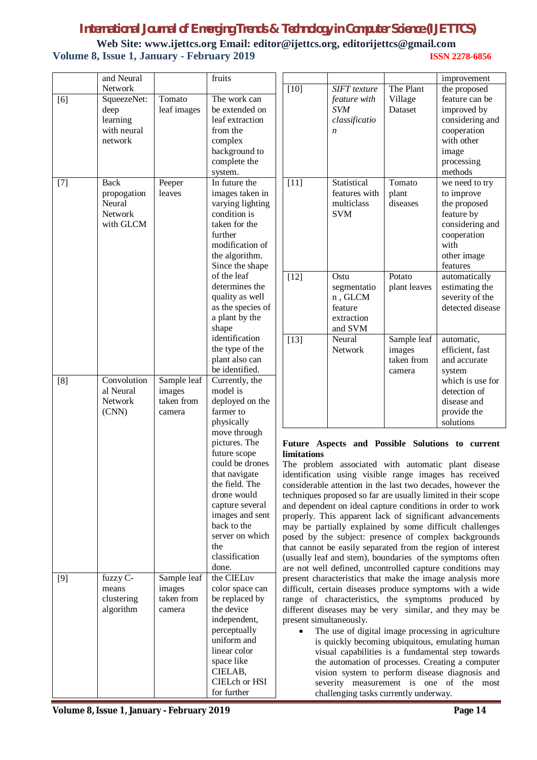# *International Journal of Emerging Trends & Technology in Computer Science (IJETTCS)*

**Web Site: www.ijettcs.org Email: editor@ijettcs.org, editorijettcs@gmail.com Volume 8, Issue 1, January - February 2019 ISSN 2278-6856**

|       | and Neural  |             | fruits                          |                                                                                                                     |                     |              | improvement                                                 |  |
|-------|-------------|-------------|---------------------------------|---------------------------------------------------------------------------------------------------------------------|---------------------|--------------|-------------------------------------------------------------|--|
|       | Network     |             |                                 | $[10]$                                                                                                              | <b>SIFT</b> texture | The Plant    | the proposed                                                |  |
| [6]   | SqueezeNet: | Tomato      | The work can                    |                                                                                                                     | feature with        | Village      | feature can be                                              |  |
|       | deep        | leaf images | be extended on                  |                                                                                                                     | <b>SVM</b>          | Dataset      | improved by                                                 |  |
|       | learning    |             | leaf extraction                 |                                                                                                                     | classificatio       |              | considering and                                             |  |
|       | with neural |             | from the                        |                                                                                                                     | $\boldsymbol{n}$    |              | cooperation                                                 |  |
|       | network     |             | complex                         |                                                                                                                     |                     |              | with other                                                  |  |
|       |             |             | background to                   |                                                                                                                     |                     |              | image                                                       |  |
|       |             |             | complete the                    |                                                                                                                     |                     |              | processing                                                  |  |
|       |             |             | system.                         |                                                                                                                     |                     |              | methods                                                     |  |
| $[7]$ | Back        | Peeper      | In future the                   | $[11]$                                                                                                              | Statistical         | Tomato       | we need to try                                              |  |
|       | propogation | leaves      | images taken in                 |                                                                                                                     | features with       | plant        | to improve                                                  |  |
|       | Neural      |             | varying lighting                |                                                                                                                     | multiclass          | diseases     | the proposed                                                |  |
|       | Network     |             | condition is                    |                                                                                                                     | <b>SVM</b>          |              | feature by                                                  |  |
|       | with GLCM   |             | taken for the<br>further        |                                                                                                                     |                     |              | considering and                                             |  |
|       |             |             | modification of                 |                                                                                                                     |                     |              | cooperation<br>with                                         |  |
|       |             |             | the algorithm.                  |                                                                                                                     |                     |              | other image                                                 |  |
|       |             |             | Since the shape                 |                                                                                                                     |                     |              | features                                                    |  |
|       |             |             | of the leaf                     | $[12]$                                                                                                              | Ostu                | Potato       | automatically                                               |  |
|       |             |             | determines the                  |                                                                                                                     | segmentatio         | plant leaves | estimating the                                              |  |
|       |             |             | quality as well                 |                                                                                                                     | n, GLCM             |              | severity of the                                             |  |
|       |             |             | as the species of               |                                                                                                                     | feature             |              | detected disease                                            |  |
|       |             |             | a plant by the                  |                                                                                                                     | extraction          |              |                                                             |  |
|       |             |             | shape                           |                                                                                                                     | and SVM             |              |                                                             |  |
|       |             |             | identification                  | $[13]$                                                                                                              | Neural              | Sample leaf  | automatic,                                                  |  |
|       |             |             | the type of the                 |                                                                                                                     | Network             | images       | efficient, fast                                             |  |
|       |             |             | plant also can                  |                                                                                                                     |                     | taken from   | and accurate                                                |  |
|       |             |             | be identified.                  |                                                                                                                     |                     | camera       | system                                                      |  |
| [8]   | Convolution | Sample leaf | Currently, the                  |                                                                                                                     |                     |              | which is use for                                            |  |
|       | al Neural   | images      | model is                        |                                                                                                                     |                     |              | detection of                                                |  |
|       | Network     | taken from  | deployed on the                 |                                                                                                                     |                     |              | disease and                                                 |  |
|       | (CNN)       | camera      | farmer to                       |                                                                                                                     |                     |              | provide the                                                 |  |
|       |             |             | physically                      |                                                                                                                     |                     |              | solutions                                                   |  |
|       |             |             | move through                    |                                                                                                                     |                     |              |                                                             |  |
|       |             |             | pictures. The                   | Future Aspects and Possible Solutions to current                                                                    |                     |              |                                                             |  |
|       |             |             | future scope                    | limitations                                                                                                         |                     |              |                                                             |  |
|       |             |             | could be drones                 | The problem associated with automatic plant disease                                                                 |                     |              |                                                             |  |
|       |             |             | that navigate<br>the field. The | identification using visible range images has received                                                              |                     |              |                                                             |  |
|       |             |             | drone would                     | considerable attention in the last two decades, however the                                                         |                     |              |                                                             |  |
|       |             |             | capture several                 | techniques proposed so far are usually limited in their scope                                                       |                     |              |                                                             |  |
|       |             |             | images and sent                 | and dependent on ideal capture conditions in order to work                                                          |                     |              |                                                             |  |
|       |             |             | back to the                     | properly. This apparent lack of significant advancements<br>may be partially explained by some difficult challenges |                     |              |                                                             |  |
|       |             |             | server on which                 | posed by the subject: presence of complex backgrounds                                                               |                     |              |                                                             |  |
|       |             |             | the                             |                                                                                                                     |                     |              | that cannot be easily separated from the region of interest |  |
|       |             |             | classification                  |                                                                                                                     |                     |              | (usually leaf and stem), boundaries of the symptoms often   |  |
|       |             |             | done.                           |                                                                                                                     |                     |              | are not well defined, uncontrolled capture conditions may   |  |
| [9]   | fuzzy C-    | Sample leaf | the CIELuv                      |                                                                                                                     |                     |              | present characteristics that make the image analysis more   |  |
|       | means       | images      | color space can                 |                                                                                                                     |                     |              | difficult, certain diseases produce symptoms with a wide    |  |
|       | clustering  | taken from  | be replaced by                  |                                                                                                                     |                     |              | range of characteristics, the symptoms produced by          |  |
|       | algorithm   | camera      | the device                      |                                                                                                                     |                     |              | different diseases may be very similar, and they may be     |  |
|       |             |             | independent,                    | present simultaneously.                                                                                             |                     |              |                                                             |  |
|       |             |             | perceptually                    | The use of digital image processing in agriculture                                                                  |                     |              |                                                             |  |
|       |             |             | uniform and                     | is quickly becoming ubiquitous, emulating human                                                                     |                     |              |                                                             |  |
|       |             |             | linear color                    | visual capabilities is a fundamental step towards                                                                   |                     |              |                                                             |  |
|       |             |             | space like                      | the automation of processes. Creating a computer                                                                    |                     |              |                                                             |  |
|       |             |             | CIELAB,                         |                                                                                                                     |                     |              | vision system to perform disease diagnosis and              |  |
|       |             |             | CIELch or HSI                   | severity measurement is one of the most                                                                             |                     |              |                                                             |  |
|       |             |             | for further                     | challenging tasks currently underway.                                                                               |                     |              |                                                             |  |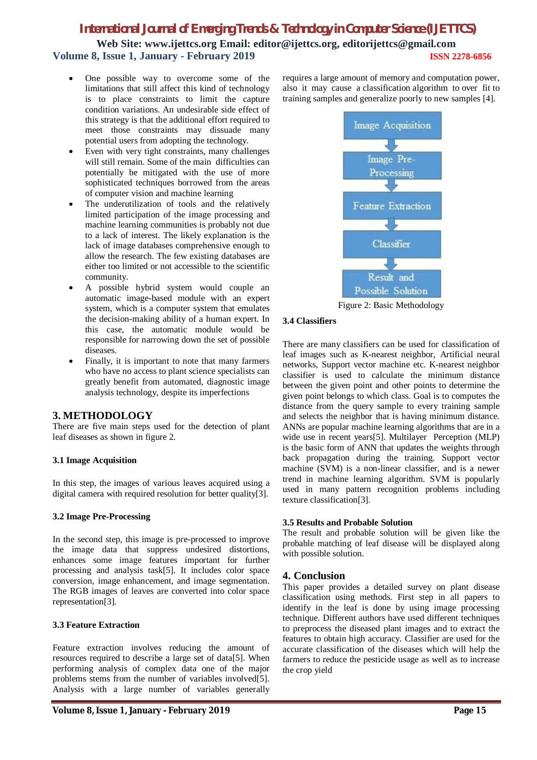# *International Journal of Emerging Trends & Technology in Computer Science (IJETTCS)* **Web Site: www.ijettcs.org Email: editor@ijettcs.org, editorijettcs@gmail.com Volume 8, Issue 1, January - February 2019 ISSN 2278-6856**

- One possible way to overcome some of the limitations that still affect this kind of technology is to place constraints to limit the capture condition variations. An undesirable side effect of this strategy is that the additional effort required to meet those constraints may dissuade many potential users from adopting the technology.
- Even with very tight constraints, many challenges will still remain. Some of the main difficulties can potentially be mitigated with the use of more sophisticated techniques borrowed from the areas of computer vision and machine learning
- The underutilization of tools and the relatively limited participation of the image processing and machine learning communities is probably not due to a lack of interest. The likely explanation is the lack of image databases comprehensive enough to allow the research. The few existing databases are either too limited or not accessible to the scientific community.
- A possible hybrid system would couple an automatic image-based module with an expert system, which is a computer system that emulates the decision-making ability of a human expert. In this case, the automatic module would be responsible for narrowing down the set of possible diseases.
- Finally, it is important to note that many farmers who have no access to plant science specialists can greatly benefit from automated, diagnostic image analysis technology, despite its imperfections

# **3. METHODOLOGY**

There are five main steps used for the detection of plant leaf diseases as shown in figure 2.

# **3.1 Image Acquisition**

In this step, the images of various leaves acquired using a digital camera with required resolution for better quality[3].

#### **3.2 Image Pre-Processing**

In the second step, this image is pre-processed to improve the image data that suppress undesired distortions, enhances some image features important for further processing and analysis task[5]. It includes color space conversion, image enhancement, and image segmentation. The RGB images of leaves are converted into color space representation[3].

#### **3.3 Feature Extraction**

Feature extraction involves reducing the amount of resources required to describe a large set of data[5]. When performing analysis of complex data one of the major problems stems from the number of variables involved[5]. Analysis with a large number of variables generally

requires a large amount of memory and computation power, also it may cause a classification algorithm to over fit to training samples and generalize poorly to new samples [4].



Figure 2: Basic Methodology

#### **3.4 Classifiers**

There are many classifiers can be used for classification of leaf images such as K-nearest neighbor, Artificial neural networks, Support vector machine etc. K-nearest neighbor classifier is used to calculate the minimum distance between the given point and other points to determine the given point belongs to which class. Goal is to computes the distance from the query sample to every training sample and selects the neighbor that is having minimum distance. ANNs are popular machine learning algorithms that are in a wide use in recent years[5]. Multilayer Perception (MLP) is the basic form of ANN that updates the weights through back propagation during the training. Support vector machine (SVM) is a non-linear classifier, and is a newer trend in machine learning algorithm. SVM is popularly used in many pattern recognition problems including texture classification[3].

# **3.5 Results and Probable Solution**

The result and probable solution will be given like the probable matching of leaf disease will be displayed along with possible solution.

# **4. Conclusion**

This paper provides a detailed survey on plant disease classification using methods. First step in all papers to identify in the leaf is done by using image processing technique. Different authors have used different techniques to preprocess the diseased plant images and to extract the features to obtain high accuracy. Classifier are used for the accurate classification of the diseases which will help the farmers to reduce the pesticide usage as well as to increase the crop yield